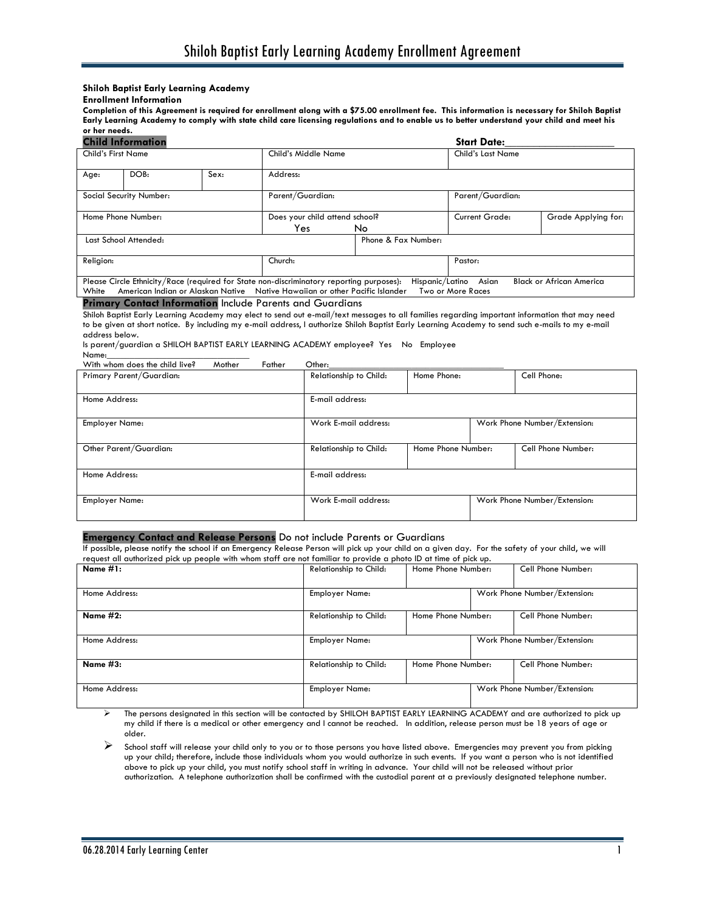# **Shiloh Baptist Early Learning Academy**

# **Enrollment Information**

**Completion of this Agreement is required for enrollment along with a \$75.00 enrollment fee. This information is necessary for Shiloh Baptist Early Learning Academy to comply with state child care licensing regulations and to enable us to better understand your child and meet his or her needs.** 

| <b>Child Information</b>                                                                 |                    |  |                                |                     | <b>Start Date:</b> |                                 |  |
|------------------------------------------------------------------------------------------|--------------------|--|--------------------------------|---------------------|--------------------|---------------------------------|--|
| <b>Child's First Name</b>                                                                |                    |  | Child's Middle Name            |                     | Child's Last Name  |                                 |  |
| Sex:<br>DOB:<br>Age:                                                                     |                    |  | Address:                       |                     |                    |                                 |  |
|                                                                                          |                    |  |                                |                     |                    |                                 |  |
| Social Security Number:                                                                  |                    |  | Parent/Guardian:               |                     | Parent/Guardian:   |                                 |  |
|                                                                                          |                    |  |                                |                     |                    |                                 |  |
|                                                                                          | Home Phone Number: |  | Does your child attend school? |                     | Current Grade:     | Grade Applying for:             |  |
|                                                                                          |                    |  | Yes.                           | No.                 |                    |                                 |  |
| Last School Attended:                                                                    |                    |  |                                | Phone & Fax Number: |                    |                                 |  |
|                                                                                          |                    |  |                                |                     |                    |                                 |  |
| Religion:                                                                                |                    |  | Church:                        |                     | Pastor:            |                                 |  |
|                                                                                          |                    |  |                                |                     |                    |                                 |  |
| Please Circle Ethnicity/Race (required for State non-discriminatory reporting purposes): |                    |  |                                | Hispanic/Latino     | Asian              | <b>Black or African America</b> |  |
| American Indian or Alaskan Native Native Hawaiian or other Pacific Islander<br>White     |                    |  |                                |                     | Two or More Races  |                                 |  |
| <b>Primary Contact Information Include Parents and Guardians</b>                         |                    |  |                                |                     |                    |                                 |  |

# **P** include Parents and Guardians

Shiloh Baptist Early Learning Academy may elect to send out e-mail/text messages to all families regarding important information that may need to be given at short notice. By including my e-mail address, I authorize Shiloh Baptist Early Learning Academy to send such e-mails to my e-mail address below.

Is parent/guardian a SHILOH BAPTIST EARLY LEARNING ACADEMY employee? Yes No Employee

| Name:                          |        |        |        |
|--------------------------------|--------|--------|--------|
| With whom does the child live? | Mother | Father | ጋther: |

| 111111<br>.              | ------                 |                    |                              |
|--------------------------|------------------------|--------------------|------------------------------|
| Primary Parent/Guardian: | Relationship to Child: | Home Phone:        | Cell Phone:                  |
| Home Address:            | E-mail address:        |                    |                              |
| Employer Name:           | Work E-mail address:   |                    | Work Phone Number/Extension: |
| Other Parent/Guardian:   | Relationship to Child: | Home Phone Number: | Cell Phone Number:           |
| Home Address:            | E-mail address:        |                    |                              |
| Employer Name:           | Work E-mail address:   |                    | Work Phone Number/Extension: |
|                          |                        |                    |                              |

# **Emergency Contact and Release Persons** Do not include Parents or Guardians

If possible, please notify the school if an Emergency Release Person will pick up your child on a given day. For the safety of your child, we will request all authorized pick up people with whom staff are not familiar to provide a photo ID at time of pick up.

| Name $#1:$      | Home Phone Number:<br>Relationship to Child: |                    |                              | Cell Phone Number:           |
|-----------------|----------------------------------------------|--------------------|------------------------------|------------------------------|
| Home Address:   | <b>Employer Name:</b>                        |                    | Work Phone Number/Extension: |                              |
| Name $#2:$      | Relationship to Child:                       | Home Phone Number: |                              | Cell Phone Number:           |
| Home Address:   | <b>Employer Name:</b>                        |                    |                              | Work Phone Number/Extension: |
| <b>Name #3:</b> | Relationship to Child:                       | Home Phone Number: |                              | Cell Phone Number:           |
| Home Address:   | <b>Employer Name:</b>                        |                    | Work Phone Number/Extension: |                              |

 The persons designated in this section will be contacted by SHILOH BAPTIST EARLY LEARNING ACADEMY and are authorized to pick up my child if there is a medical or other emergency and I cannot be reached. In addition, release person must be 18 years of age or older.

 School staff will release your child only to you or to those persons you have listed above. Emergencies may prevent you from picking up your child; therefore, include those individuals whom you would authorize in such events. If you want a person who is not identified above to pick up your child, you must notify school staff in writing in advance. Your child will not be released without prior authorization. A telephone authorization shall be confirmed with the custodial parent at a previously designated telephone number.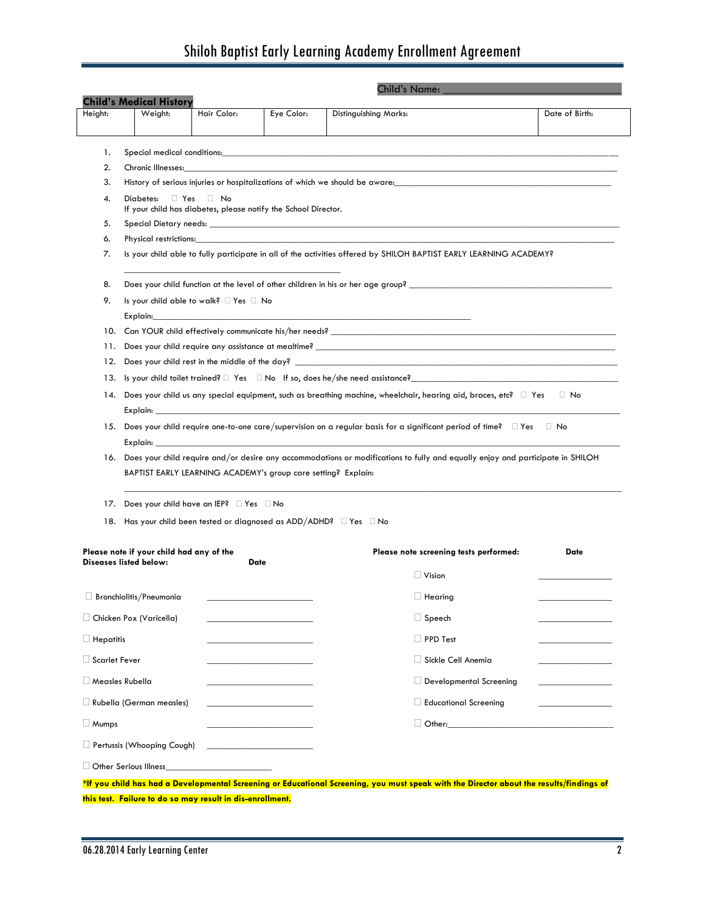# Shiloh Baptist Early Learning Academy Enrollment Agreement

|                                   | Weight:                                                                                                                                                                                                                                                                                                                                   | Hair Color:                                                   | Eye Color:                                                                                                                                                                                                                           | Distinguishing Marks:                                                                                                                                                                                                          | Date of Birth:              |  |  |  |
|-----------------------------------|-------------------------------------------------------------------------------------------------------------------------------------------------------------------------------------------------------------------------------------------------------------------------------------------------------------------------------------------|---------------------------------------------------------------|--------------------------------------------------------------------------------------------------------------------------------------------------------------------------------------------------------------------------------------|--------------------------------------------------------------------------------------------------------------------------------------------------------------------------------------------------------------------------------|-----------------------------|--|--|--|
| 1.                                |                                                                                                                                                                                                                                                                                                                                           |                                                               |                                                                                                                                                                                                                                      |                                                                                                                                                                                                                                |                             |  |  |  |
| 2.                                | Special medical conditions: the control of the control of the control of the control of the conditions:<br>Chronic Illnesses: the contract of the contract of the contract of the contract of the contract of the contract of the contract of the contract of the contract of the contract of the contract of the contract of the contrac |                                                               |                                                                                                                                                                                                                                      |                                                                                                                                                                                                                                |                             |  |  |  |
| 3.                                | History of serious injuries or hospitalizations of which we should be aware:                                                                                                                                                                                                                                                              |                                                               |                                                                                                                                                                                                                                      |                                                                                                                                                                                                                                |                             |  |  |  |
| 4.                                | $Diabetes:$ $\Box$ Yes<br>⊟ No<br>If your child has diabetes, please notify the School Director.                                                                                                                                                                                                                                          |                                                               |                                                                                                                                                                                                                                      |                                                                                                                                                                                                                                |                             |  |  |  |
| 5.                                |                                                                                                                                                                                                                                                                                                                                           |                                                               |                                                                                                                                                                                                                                      |                                                                                                                                                                                                                                |                             |  |  |  |
| 6.                                | Physical restrictions: <b>All any of the Contract Contract Contract Contract Contract Contract Contract Contract Contract Contract Contract Contract Contract Contract Contract Contract Contract Contract Contract Contract Con</b>                                                                                                      |                                                               |                                                                                                                                                                                                                                      |                                                                                                                                                                                                                                |                             |  |  |  |
| 7.                                | Is your child able to fully participate in all of the activities offered by SHILOH BAPTIST EARLY LEARNING ACADEMY?                                                                                                                                                                                                                        |                                                               |                                                                                                                                                                                                                                      |                                                                                                                                                                                                                                |                             |  |  |  |
| 8.                                | Does your child function at the level of other children in his or her age group?                                                                                                                                                                                                                                                          |                                                               |                                                                                                                                                                                                                                      |                                                                                                                                                                                                                                |                             |  |  |  |
| 9.                                |                                                                                                                                                                                                                                                                                                                                           | Is your child able to walk? $\Box$ Yes $\Box$ No              |                                                                                                                                                                                                                                      |                                                                                                                                                                                                                                |                             |  |  |  |
|                                   |                                                                                                                                                                                                                                                                                                                                           |                                                               |                                                                                                                                                                                                                                      | Explain: Explaint and the contract of the contract of the contract of the contract of the contract of the contract of the contract of the contract of the contract of the contract of the contract of the contract of the cont |                             |  |  |  |
| 10.                               |                                                                                                                                                                                                                                                                                                                                           |                                                               |                                                                                                                                                                                                                                      |                                                                                                                                                                                                                                |                             |  |  |  |
| 11.                               |                                                                                                                                                                                                                                                                                                                                           |                                                               |                                                                                                                                                                                                                                      |                                                                                                                                                                                                                                |                             |  |  |  |
| 12.                               |                                                                                                                                                                                                                                                                                                                                           |                                                               |                                                                                                                                                                                                                                      |                                                                                                                                                                                                                                |                             |  |  |  |
| 13.                               |                                                                                                                                                                                                                                                                                                                                           |                                                               |                                                                                                                                                                                                                                      |                                                                                                                                                                                                                                |                             |  |  |  |
| 14.                               |                                                                                                                                                                                                                                                                                                                                           |                                                               |                                                                                                                                                                                                                                      | Does your child us any special equipment, such as breathing machine, wheelchair, hearing aid, braces, etc? $\Box$ Yes $\Box$ No                                                                                                |                             |  |  |  |
|                                   |                                                                                                                                                                                                                                                                                                                                           |                                                               |                                                                                                                                                                                                                                      |                                                                                                                                                                                                                                |                             |  |  |  |
|                                   |                                                                                                                                                                                                                                                                                                                                           |                                                               |                                                                                                                                                                                                                                      | 15. Does your child require one-to-one care/supervision on a regular basis for a significant period of time? □ Yes □ No                                                                                                        |                             |  |  |  |
|                                   | Explain: the contract of the contract of the contract of the contract of the contract of the contract of the contract of the contract of the contract of the contract of the contract of the contract of the contract of the c                                                                                                            |                                                               |                                                                                                                                                                                                                                      |                                                                                                                                                                                                                                |                             |  |  |  |
|                                   |                                                                                                                                                                                                                                                                                                                                           |                                                               |                                                                                                                                                                                                                                      |                                                                                                                                                                                                                                |                             |  |  |  |
| 16.                               |                                                                                                                                                                                                                                                                                                                                           | BAPTIST EARLY LEARNING ACADEMY's group care setting? Explain: |                                                                                                                                                                                                                                      | Does your child require and/or desire any accommodations or modifications to fully and equally enjoy and participate in SHILOH                                                                                                 |                             |  |  |  |
|                                   |                                                                                                                                                                                                                                                                                                                                           |                                                               |                                                                                                                                                                                                                                      |                                                                                                                                                                                                                                |                             |  |  |  |
| 17.                               |                                                                                                                                                                                                                                                                                                                                           | Does your child have an IEP? $\Box$ Yes $\Box$ No             |                                                                                                                                                                                                                                      |                                                                                                                                                                                                                                |                             |  |  |  |
|                                   |                                                                                                                                                                                                                                                                                                                                           |                                                               |                                                                                                                                                                                                                                      | 18. Has your child been tested or diagnosed as ADD/ADHD? $\Box$ Yes $\Box$ No                                                                                                                                                  |                             |  |  |  |
|                                   | Please note if your child had any of the<br>Diseases listed below:                                                                                                                                                                                                                                                                        |                                                               | Date                                                                                                                                                                                                                                 | Please note screening tests performed:                                                                                                                                                                                         | <b>Date</b>                 |  |  |  |
|                                   |                                                                                                                                                                                                                                                                                                                                           |                                                               |                                                                                                                                                                                                                                      | $\Box$ Vision                                                                                                                                                                                                                  |                             |  |  |  |
|                                   | $\Box$ Bronchiolitis/Pneumonia                                                                                                                                                                                                                                                                                                            |                                                               |                                                                                                                                                                                                                                      | $\Box$ Hearing                                                                                                                                                                                                                 |                             |  |  |  |
|                                   | $\Box$ Chicken Pox (Varicella)                                                                                                                                                                                                                                                                                                            |                                                               |                                                                                                                                                                                                                                      | $\Box$ Speech                                                                                                                                                                                                                  |                             |  |  |  |
|                                   |                                                                                                                                                                                                                                                                                                                                           |                                                               |                                                                                                                                                                                                                                      | $\Box$ PPD Test                                                                                                                                                                                                                |                             |  |  |  |
|                                   |                                                                                                                                                                                                                                                                                                                                           |                                                               |                                                                                                                                                                                                                                      | Sickle Cell Anemia                                                                                                                                                                                                             |                             |  |  |  |
|                                   | $\Box$ Measles Rubella                                                                                                                                                                                                                                                                                                                    |                                                               | <u> 1989 - Johann Harry Harry Harry Harry Harry Harry Harry Harry Harry Harry Harry Harry Harry Harry Harry Harry Harry Harry Harry Harry Harry Harry Harry Harry Harry Harry Harry Harry Harry Harry Harry Harry Harry Harry Ha</u> | Developmental Screening                                                                                                                                                                                                        | and the control of the con- |  |  |  |
| $\Box$ Hepatitis<br>Scarlet Fever | Rubella (German measles)                                                                                                                                                                                                                                                                                                                  |                                                               | the control of the control of the control of                                                                                                                                                                                         | Educational Screening                                                                                                                                                                                                          |                             |  |  |  |
| $\Box$ Mumps                      | Pertussis (Whooping Cough)                                                                                                                                                                                                                                                                                                                |                                                               | the control of the control of the control<br>the control of the control of the control of                                                                                                                                            | Other: Care and Contract and Contract and Contract and Contract and Contract and Contract and Contract and Contract and Contract and Contract and Contract and Contract and Contract and Contract and Contract and Contract an |                             |  |  |  |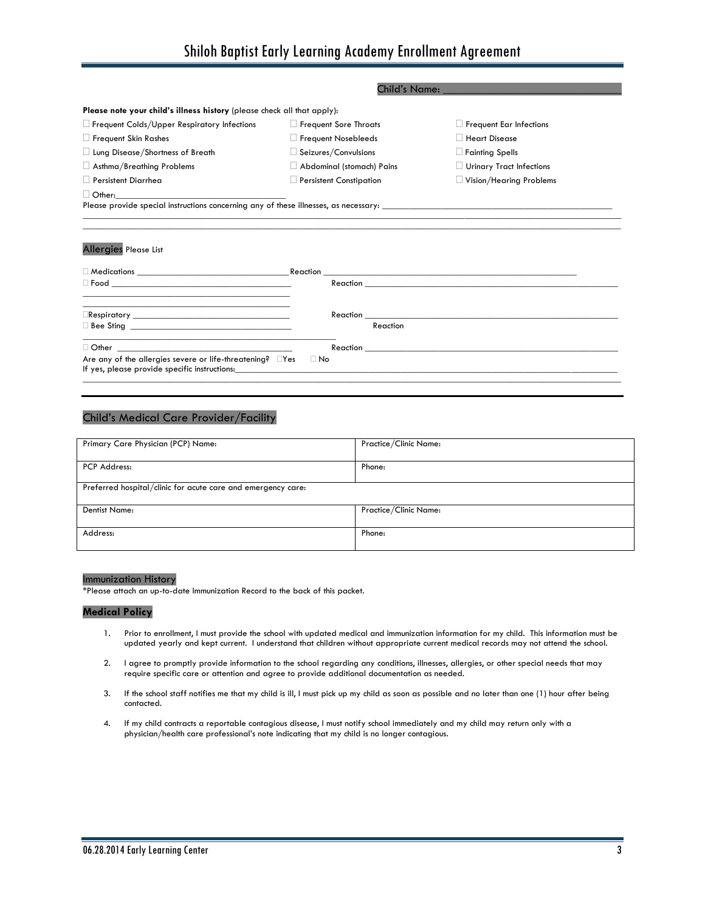|                                                                                                                                               | <b>Child's Name:</b>           |                                            |
|-----------------------------------------------------------------------------------------------------------------------------------------------|--------------------------------|--------------------------------------------|
| Please note your child's illness history (please check all that apply):                                                                       |                                |                                            |
| $\Box$ Frequent Colds/Upper Respiratory Infections                                                                                            | $\Box$ Frequent Sore Throats   | <b>Frequent Ear Infections</b>             |
| $\Box$ Frequent Skin Rashes                                                                                                                   | $\Box$ Frequent Nosebleeds     | <b>Heart Disease</b>                       |
| $\Box$ Lung Disease/Shortness of Breath                                                                                                       | $\Box$ Seizures/Convulsions    | <b>Fainting Spells</b>                     |
| $\Box$ Asthma/Breathing Problems                                                                                                              | Abdominal (stomach) Pains      | Urinary Tract Infections                   |
| $\Box$ Persistent Diarrhea                                                                                                                    | $\Box$ Persistent Constipation | Vision/Hearing Problems                    |
| $\Box$ Other:                                                                                                                                 |                                |                                            |
|                                                                                                                                               |                                |                                            |
| <b>Allergies Please List</b>                                                                                                                  |                                |                                            |
| <u> 1989 - Johann Stoff, deutscher Stoff, der Stoff, der Stoff, der Stoff, der Stoff, der Stoff, der Stoff, der S</u>                         |                                | Reaction <b>Exercise Exercise Services</b> |
|                                                                                                                                               | Reaction                       |                                            |
| $\Box$ Other $\Box$<br><u> 1989 - Johann John Stein, market fan it ferskearre fan it ferskearre fan it ferskearre fan it ferskearre fan i</u> | Reaction                       |                                            |

# Child's Medical Care Provider/Facility

If yes, please provide specific instructions:

Are any of the allergies severe or life-threatening?  $\square$  Yes  $\square$  No

| Primary Care Physician (PCP) Name:                           | Practice/Clinic Name: |  |  |  |  |
|--------------------------------------------------------------|-----------------------|--|--|--|--|
| PCP Address:                                                 | Phone:                |  |  |  |  |
| Preferred hospital/clinic for acute care and emergency care: |                       |  |  |  |  |
| <b>Dentist Name:</b>                                         | Practice/Clinic Name: |  |  |  |  |
| Address:                                                     | Phone:                |  |  |  |  |

 $\Box$ 

# Immunization History

\*Please attach an up-to-date Immunization Record to the back of this packet.

# **Medical Policy**

- 1. Prior to enrollment, I must provide the school with updated medical and immunization information for my child. This information must be updated yearly and kept current. I understand that children without appropriate current medical records may not attend the school.
- 2. I agree to promptly provide information to the school regarding any conditions, illnesses, allergies, or other special needs that may require specific care or attention and agree to provide additional documentation as needed.
- 3. If the school staff notifies me that my child is ill, I must pick up my child as soon as possible and no later than one (1) hour after being contacted.
- 4. If my child contracts a reportable contagious disease, I must notify school immediately and my child may return only with a physician/health care professional's note indicating that my child is no longer contagious.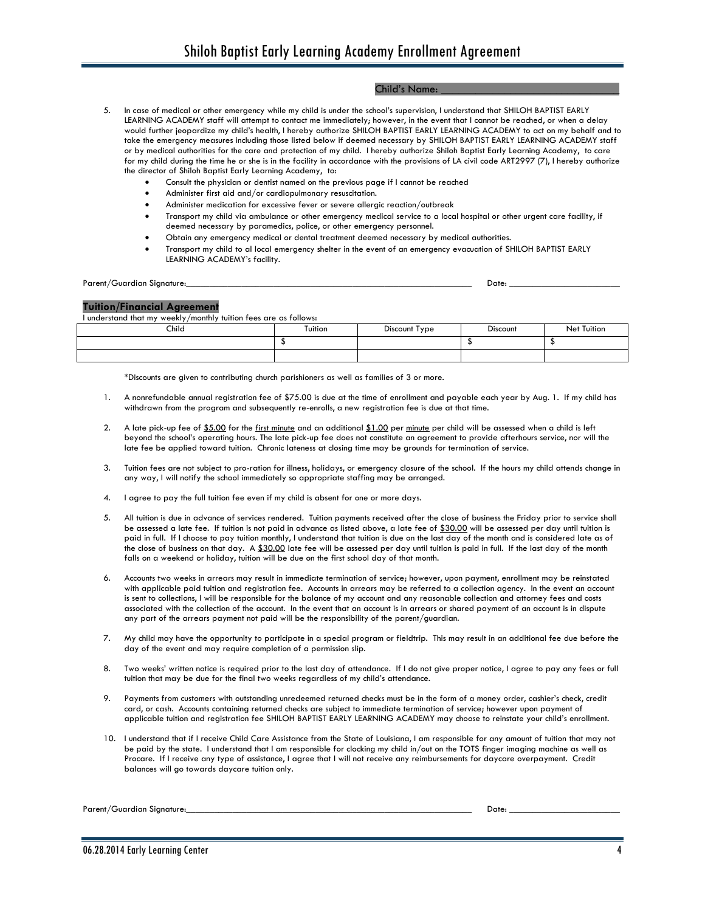# Child's Name:

- 5. In case of medical or other emergency while my child is under the school's supervision, I understand that SHILOH BAPTIST EARLY LEARNING ACADEMY staff will attempt to contact me immediately; however, in the event that I cannot be reached, or when a delay would further jeopardize my child's health, I hereby authorize SHILOH BAPTIST EARLY LEARNING ACADEMY to act on my behalf and to take the emergency measures including those listed below if deemed necessary by SHILOH BAPTIST EARLY LEARNING ACADEMY staff or by medical authorities for the care and protection of my child. I hereby authorize Shiloh Baptist Early Learning Academy, to care for my child during the time he or she is in the facility in accordance with the provisions of LA civil code ART2997 (7), I hereby authorize the director of Shiloh Baptist Early Learning Academy, to:
	- Consult the physician or dentist named on the previous page if I cannot be reached
	- Administer first aid and/or cardiopulmonary resuscitation.
	- Administer medication for excessive fever or severe allergic reaction/outbreak
	- Transport my child via ambulance or other emergency medical service to a local hospital or other urgent care facility, if deemed necessary by paramedics, police, or other emergency personnel.
	- Obtain any emergency medical or dental treatment deemed necessary by medical authorities.
	- Transport my child to al local emergency shelter in the event of an emergency evacuation of SHILOH BAPTIST EARLY LEARNING ACADEMY's facility.

Parent/Guardian Signature:\_\_\_\_\_\_\_\_\_\_\_\_\_\_\_\_\_\_\_\_\_\_\_\_\_\_\_\_\_\_\_\_\_\_\_\_\_\_\_\_\_\_\_\_\_\_\_\_\_\_\_\_\_\_\_\_\_\_\_\_\_\_ Date: \_\_\_\_\_\_\_\_\_\_\_\_\_\_\_\_\_\_\_\_\_\_\_\_

## **Tuition/Financial Agreement**

I understand that my weekly/monthly tuition fees are as follows:

| Child | Tuition | Discount Type | <b>Discount</b><br>. | Tuitior<br>Net |
|-------|---------|---------------|----------------------|----------------|
|       |         |               |                      |                |
|       |         |               |                      |                |

\*Discounts are given to contributing church parishioners as well as families of 3 or more.

- 1. A nonrefundable annual registration fee of \$75.00 is due at the time of enrollment and payable each year by Aug. 1. If my child has withdrawn from the program and subsequently re-enrolls, a new registration fee is due at that time.
- 2. A late pick-up fee of \$5.00 for the first minute and an additional \$1.00 per minute per child will be assessed when a child is left beyond the school's operating hours. The late pick-up fee does not constitute an agreement to provide afterhours service, nor will the late fee be applied toward tuition. Chronic lateness at closing time may be grounds for termination of service.
- 3. Tuition fees are not subject to pro-ration for illness, holidays, or emergency closure of the school. If the hours my child attends change in any way, I will notify the school immediately so appropriate staffing may be arranged.
- 4. I agree to pay the full tuition fee even if my child is absent for one or more days.
- 5. All tuition is due in advance of services rendered. Tuition payments received after the close of business the Friday prior to service shall be assessed a late fee. If tuition is not paid in advance as listed above, a late fee of \$30.00 will be assessed per day until tuition is paid in full. If I choose to pay tuition monthly, I understand that tuition is due on the last day of the month and is considered late as of the close of business on that day. A \$30.00 late fee will be assessed per day until tuition is paid in full. If the last day of the month falls on a weekend or holiday, tuition will be due on the first school day of that month.
- 6. Accounts two weeks in arrears may result in immediate termination of service; however, upon payment, enrollment may be reinstated with applicable paid tuition and registration fee. Accounts in arrears may be referred to a collection agency. In the event an account is sent to collections, I will be responsible for the balance of my account and any reasonable collection and attorney fees and costs associated with the collection of the account. In the event that an account is in arrears or shared payment of an account is in dispute any part of the arrears payment not paid will be the responsibility of the parent/guardian.
- 7. My child may have the opportunity to participate in a special program or fieldtrip. This may result in an additional fee due before the day of the event and may require completion of a permission slip.
- 8. Two weeks' written notice is required prior to the last day of attendance. If I do not give proper notice, I agree to pay any fees or full tuition that may be due for the final two weeks regardless of my child's attendance.
- 9. Payments from customers with outstanding unredeemed returned checks must be in the form of a money order, cashier's check, credit card, or cash. Accounts containing returned checks are subject to immediate termination of service; however upon payment of applicable tuition and registration fee SHILOH BAPTIST EARLY LEARNING ACADEMY may choose to reinstate your child's enrollment.
- 10. I understand that if I receive Child Care Assistance from the State of Louisiana, I am responsible for any amount of tuition that may not be paid by the state. I understand that I am responsible for clocking my child in/out on the TOTS finger imaging machine as well as Procare. If I receive any type of assistance, I agree that I will not receive any reimbursements for daycare overpayment. Credit balances will go towards daycare tuition only.

Parent/Guardian Signature:\_\_\_\_\_\_\_\_\_\_\_\_\_\_\_\_\_\_\_\_\_\_\_\_\_\_\_\_\_\_\_\_\_\_\_\_\_\_\_\_\_\_\_\_\_\_\_\_\_\_\_\_\_\_\_\_\_\_\_\_\_\_ Date: \_\_\_\_\_\_\_\_\_\_\_\_\_\_\_\_\_\_\_\_\_\_\_\_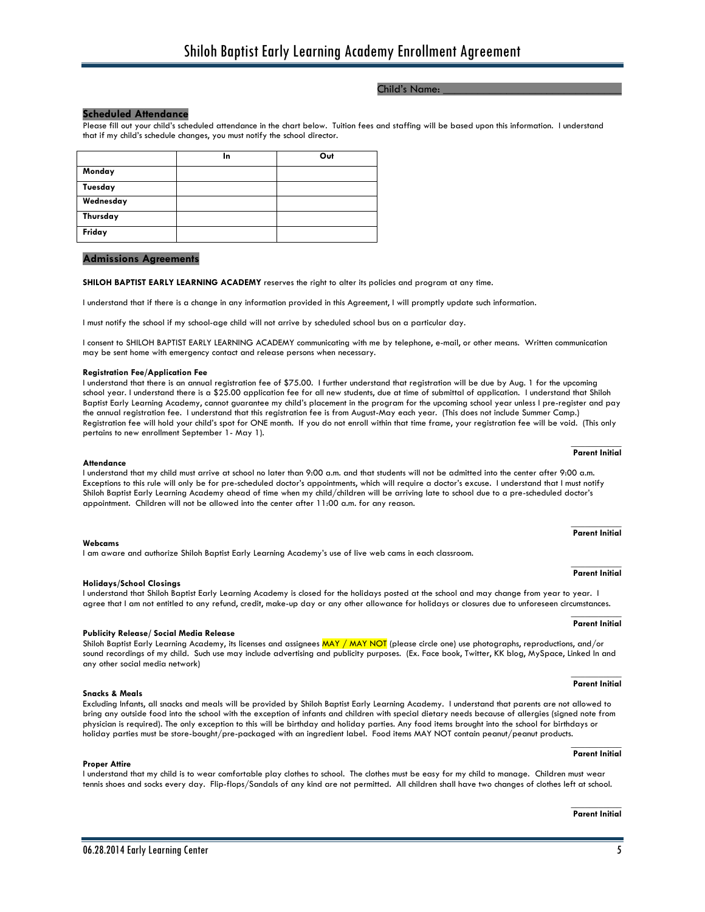# Child's Name:

# **Scheduled Attendance**

Please fill out your child's scheduled attendance in the chart below. Tuition fees and staffing will be based upon this information. I understand that if my child's schedule changes, you must notify the school director.

|           | In | Out |
|-----------|----|-----|
| Monday    |    |     |
| Tuesday   |    |     |
| Wednesday |    |     |
| Thursday  |    |     |
| Friday    |    |     |

## **Admissions Agreements**

**SHILOH BAPTIST EARLY LEARNING ACADEMY** reserves the right to alter its policies and program at any time.

I understand that if there is a change in any information provided in this Agreement, I will promptly update such information.

I must notify the school if my school-age child will not arrive by scheduled school bus on a particular day.

I consent to SHILOH BAPTIST EARLY LEARNING ACADEMY communicating with me by telephone, e-mail, or other means. Written communication may be sent home with emergency contact and release persons when necessary.

#### **Registration Fee/Application Fee**

I understand that there is an annual registration fee of \$75.00. I further understand that registration will be due by Aug. 1 for the upcoming school year. I understand there is a \$25.00 application fee for all new students, due at time of submittal of application. I understand that Shiloh Baptist Early Learning Academy, cannot guarantee my child's placement in the program for the upcoming school year unless I pre-register and pay the annual registration fee. I understand that this registration fee is from August-May each year. (This does not include Summer Camp.) Registration fee will hold your child's spot for ONE month. If you do not enroll within that time frame, your registration fee will be void. (This only pertains to new enrollment September 1- May 1).

#### **Attendance**

I understand that my child must arrive at school no later than 9:00 a.m. and that students will not be admitted into the center after 9:00 a.m. Exceptions to this rule will only be for pre-scheduled doctor's appointments, which will require a doctor's excuse. I understand that I must notify Shiloh Baptist Early Learning Academy ahead of time when my child/children will be arriving late to school due to a pre-scheduled doctor's appointment. Children will not be allowed into the center after 11:00 a.m. for any reason.

#### **Webcams**

I am aware and authorize Shiloh Baptist Early Learning Academy's use of live web cams in each classroom.

#### **Holidays/School Closings**

### I understand that Shiloh Baptist Early Learning Academy is closed for the holidays posted at the school and may change from year to year. I agree that I am not entitled to any refund, credit, make-up day or any other allowance for holidays or closures due to unforeseen circumstances.

#### **Publicity Release/ Social Media Release**

Shiloh Baptist Early Learning Academy, its licenses and assignees MAY / MAY NOT (please circle one) use photographs, reproductions, and/or sound recordings of my child. Such use may include advertising and publicity purposes. (Ex. Face book, Twitter, KK blog, MySpace, Linked In and any other social media network)

#### **Snacks & Meals**

**Proper Attire**

Excluding Infants, all snacks and meals will be provided by Shiloh Baptist Early Learning Academy. I understand that parents are not allowed to bring any outside food into the school with the exception of infants and children with special dietary needs because of allergies (signed note from physician is required). The only exception to this will be birthday and holiday parties. Any food items brought into the school for birthdays or holiday parties must be store-bought/pre-packaged with an ingredient label. Food items MAY NOT contain peanut/peanut products. **\_\_\_\_\_\_\_\_\_\_\_**

I understand that my child is to wear comfortable play clothes to school. The clothes must be easy for my child to manage. Children must wear tennis shoes and socks every day. Flip-flops/Sandals of any kind are not permitted. All children shall have two changes of clothes left at school.

#### **Parent Initial**

#### $\frac{1}{2}$ **Parent Initial**

## **\_\_\_\_\_\_\_\_\_\_\_ Parent Initial**

# **\_\_\_\_\_\_\_\_\_\_\_**

# **Parent Initial**

## **Parent Initial**

#### **\_\_\_\_\_\_\_\_\_\_\_ Parent Initial**

#### **\_\_\_\_\_\_\_\_\_\_\_ Parent Initial**